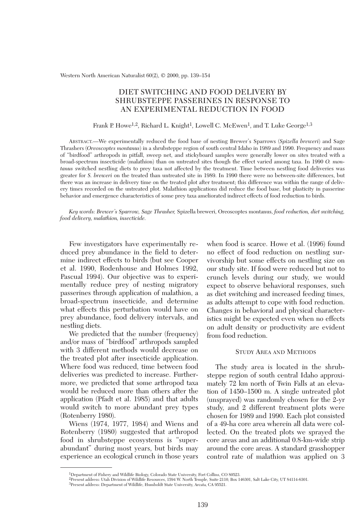Western North American Naturalist 60(2), © 2000, pp. 139–154

# DIET SWITCHING AND FOOD DELIVERY BY SHRUBSTEPPE PASSERINES IN RESPONSE TO AN EXPERIMENTAL REDUCTION IN FOOD

#### Frank P. Howe<sup>1,2</sup>, Richard L. Knight<sup>1</sup>, Lowell C. McEwen<sup>1</sup>, and T. Luke George<sup>1,3</sup>

ABSTRACT.—We experimentally reduced the food base of nesting Brewer's Sparrows (*Spizella breweri*) and Sage Thrashers (*Oreoscoptes montanus*) in a shrubsteppe region of south central Idaho in 1989 and 1990. Frequency and mass of "birdfood" arthropods in pitfall, sweep net, and stickyboard samples were generally lower on sites treated with a broad-spectrum insecticide (malathion) than on untreated sites though the effect varied among taxa. In 1990 *O. montanus* switched nestling diets to prey taxa not affected by the treatment. Time between nestling food deliveries was greater for *S. breweri* on the treated than untreated site in 1989. In 1990 there were no between-site differences, but there was an increase in delivery time on the treated plot after treatment; this difference was within the range of delivery times recorded on the untreated plot. Malathion applications did reduce the food base, but plasticity in passerine behavior and emergence characteristics of some prey taxa ameliorated indirect effects of food reduction to birds.

*Key words: Brewer's Sparrow, Sage Thrasher,* Spizella breweri, Oreoscoptes montanus, *food reduction, diet switching, food delivery, malathion, insecticide.*

Few investigators have experimentally reduced prey abundance in the field to determine indirect effects to birds (but see Cooper et al. 1990, Rodenhouse and Holmes 1992, Pascual 1994). Our objective was to experimentally reduce prey of nesting migratory passerines through application of malathion, a broad-spectrum insecticide, and determine what effects this perturbation would have on prey abundance, food delivery intervals, and nestling diets.

We predicted that the number (frequency) and/or mass of "birdfood" arthropods sampled with 3 different methods would decrease on the treated plot after insecticide application. Where food was reduced, time between food deliveries was predicted to increase. Furthermore, we predicted that some arthropod taxa would be reduced more than others after the application (Pfadt et al. 1985) and that adults would switch to more abundant prey types (Rotenberry 1980).

Wiens (1974, 1977, 1984) and Wiens and Rotenberry (1980) suggested that arthropod food in shrubsteppe ecosystems is "superabundant" during most years, but birds may experience an ecological crunch in those years when food is scarce. Howe et al. (1996) found no effect of food reduction on nestling survivorship but some effects on nestling size on our study site. If food were reduced but not to crunch levels during our study, we would expect to observe behavioral responses, such as diet switching and increased feeding times, as adults attempt to cope with food reduction. Changes in behavioral and physical characteristics might be expected even when no effects on adult density or productivity are evident from food reduction.

## STUDY AREA AND METHODS

The study area is located in the shrubsteppe region of south central Idaho approximately 72 km north of Twin Falls at an elevation of 1450–1500 m. A single untreated plot (unsprayed) was randomly chosen for the 2-yr study, and 2 different treatment plots were chosen for 1989 and 1990. Each plot consisted of a 49-ha core area wherein all data were collected. On the treated plots we sprayed the core areas and an additional 0.8-km-wide strip around the core areas. A standard grasshopper control rate of malathion was applied on 3

<sup>1</sup>Department of Fishery and Wildlife Biology, Colorado State University, Fort Collins, CO 80523.

<sup>2</sup>Present address: Utah Division of Wildlife Resources, 1594 W. North Temple, Suite 2110, Box 146301, Salt Lake City, UT 84114-6301.

<sup>3</sup>Present address: Department of Wildlife, Humboldt State University, Arcata, CA 95521.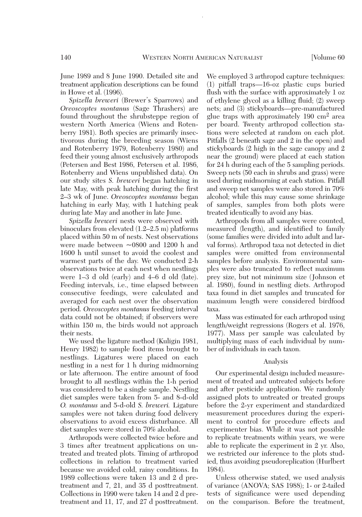June 1989 and 8 June 1990. Detailed site and treatment application descriptions can be found in Howe et al. (1996).

*Spizella breweri* (Brewer's Sparrows) and *Oreoscoptes montanus* (Sage Thrashers) are found throughout the shrubsteppe region of western North America (Wiens and Rotenberry 1981). Both species are primarily insectivorous during the breeding season (Wiens and Rotenberry 1979, Rotenberry 1980) and feed their young almost exclusively arthropods (Petersen and Best 1986, Petersen et al. 1986, Rotenberry and Wiens unpublished data). On our study sites *S. breweri* began hatching in late May, with peak hatching during the first 2–3 wk of June. *Oreoscoptes montanus* began hatching in early May, with 1 hatching peak during late May and another in late June.

*Spizella breweri* nests were observed with binoculars from elevated (1.2–2.5 m) platforms placed within 50 m of nests. Nest observations were made between ~0800 and 1200 h and 1600 h until sunset to avoid the coolest and warmest parts of the day. We conducted 2-h observations twice at each nest when nestlings were 1–3 d old (early) and 4–6 d old (late). Feeding intervals, i.e., time elapsed between consecutive feedings, were calculated and averaged for each nest over the observation period. *Oreoscoptes montanus* feeding interval data could not be obtained; if observers were within 150 m, the birds would not approach their nests.

We used the ligature method (Kuligin 1981, Henry 1982) to sample food items brought to nestlings. Ligatures were placed on each nestling in a nest for 1 h during midmorning or late afternoon. The entire amount of food brought to all nestlings within the 1-h period was considered to be a single sample. Nestling diet samples were taken from 5- and 8-d-old *O. montanus* and 5-d-old *S. breweri.* Ligature samples were not taken during food delivery observations to avoid excess disturbance. All diet samples were stored in 70% alcohol.

Arthropods were collected twice before and 3 times after treatment applications on untreated and treated plots. Timing of arthropod collections in relation to treatment varied because we avoided cold, rainy conditions. In 1989 collections were taken 13 and 2 d pretreatment and 7, 21, and 35 d posttreatment. Collections in 1990 were taken 14 and 2 d pretreatment and 11, 17, and 27 d posttreatment.

We employed 3 arthropod capture techniques: (1) pitfall traps—16-oz plastic cups buried flush with the surface with approximately 1 oz of ethylene glycol as a killing fluid; (2) sweep nets; and (3) stickyboards—pre-manufactured glue traps with approximately 190 cm2 area per board. Twenty arthropod collection stations were selected at random on each plot. Pitfalls (2 beneath sage and 2 in the open) and stickyboards (2 high in the sage canopy and 2 near the ground) were placed at each station for 24 h during each of the 5 sampling periods. Sweep nets (50 each in shrubs and grass) were used during midmorning at each station. Pitfall and sweep net samples were also stored in 70% alcohol; while this may cause some shrinkage of samples, samples from both plots were treated identically to avoid any bias.

Arthropods from all samples were counted, measured (length), and identified to family (some families were divided into adult and larval forms). Arthropod taxa not detected in diet samples were omitted from environmental samples before analysis. Environmental samples were also truncated to reflect maximum prey size, but not minimum size (Johnson et al. 1980), found in nestling diets. Arthropod taxa found in diet samples and truncated for maximum length were considered birdfood taxa.

Mass was estimated for each arthropod using length/weight regressions (Rogers et al. 1976, 1977). Mass per sample was calculated by multiplying mass of each individual by number of individuals in each taxon.

#### Analysis

Our experimental design included measurement of treated and untreated subjects before and after pesticide application. We randomly assigned plots to untreated or treated groups before the 2-yr experiment and standardized measurement procedures during the experiment to control for procedure effects and experimenter bias. While it was not possible to replicate treatments within years, we were able to replicate the experiment in 2 yr. Also, we restricted our inference to the plots studied, thus avoiding pseudoreplication (Hurlbert 1984).

Unless otherwise stated, we used analysis of variance (ANOVA; SAS 1988); 1- or 2-tailed tests of significance were used depending on the comparison. Before the treatment,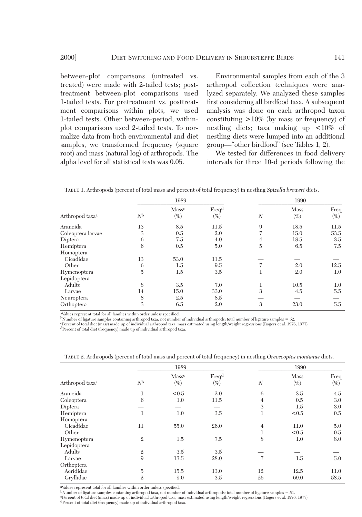between-plot comparisons (untreated vs. treated) were made with 2-tailed tests; posttreatment between-plot comparisons used 1-tailed tests. For pretreatment vs. posttreatment comparisons within plots, we used 1-tailed tests. Other between-period, withinplot comparisons used 2-tailed tests. To normalize data from both environmental and diet samples, we transformed frequency (square root) and mass (natural log) of arthropods. The alpha level for all statistical tests was 0.05.

Environmental samples from each of the 3 arthropod collection techniques were analyzed separately. We analyzed these samples first considering all birdfood taxa. A subsequent analysis was done on each arthropod taxon constituting  $>10\%$  (by mass or frequency) of nestling diets; taxa making up <10% of nestling diets were lumped into an additional group—"other birdfood" (see Tables 1, 2).

We tested for differences in food delivery intervals for three 10-d periods following the

TABLE 1. Arthropods (percent of total mass and percent of total frequency) in nestling *Spizella breweri* diets.

|                             |                | 1989            |                             |                  | 1990           |                |
|-----------------------------|----------------|-----------------|-----------------------------|------------------|----------------|----------------|
| Arthropod taxa <sup>a</sup> | N <sub>b</sub> | Masse<br>$(\%)$ | Freq <sup>d</sup><br>$(\%)$ | $\boldsymbol{N}$ | Mass<br>$(\%)$ | Freq<br>$(\%)$ |
| Araneida                    | 13             | 8.5             | 11.5                        | 9                | 18.5           | 11.5           |
| Coleoptera larvae           | 3              | 0.5             | 2.0                         |                  | 15.0           | 53.5           |
| Diptera                     | 6              | 7.5             | 4.0                         | 4                | 18.5           | 3.5            |
| Hemiptera                   | 6              | 0.5             | 5.0                         | 5                | 6.5            | 7.5            |
| Homoptera                   |                |                 |                             |                  |                |                |
| Cicadidae                   | 13             | 53.0            | 11.5                        |                  |                |                |
| Other                       | 6              | $1.5\,$         | 9.5                         |                  | 2.0            | 12.5           |
| Hymenoptera                 | 5              | 1.5             | 3.5                         |                  | 2.0            | 1.0            |
| Lepidoptera                 |                |                 |                             |                  |                |                |
| Adults                      | 8              | 3.5             | 7.0                         |                  | 10.5           | 1.0            |
| Larvae                      | 14             | 15.0            | 33.0                        | 3                | 4.5            | 5.5            |
| Neuroptera                  | 8              | 2.5             | 8.5                         |                  |                |                |
| Orthoptera                  | 3              | 6.5             | 2.0                         | 3                | 23.0           | 5.5            |

aValues represent total for all families within order unless specified.

 $b$ Number of ligature samples containing arthropod taxa, not number of individual arthropods; total number of ligature samples = 52.

cPercent of total diet (mass) made up of individual arthropod taxa; mass estimated using length/weight regressions (Rogers et al. 1976, 1977). dPercent of total diet (frequency) made up of individual arthropod taxa.

|                             |                | 1989            |                 |                  | 1990           |                |
|-----------------------------|----------------|-----------------|-----------------|------------------|----------------|----------------|
| Arthropod taxa <sup>a</sup> | N <sub>b</sub> | Massc<br>$(\%)$ | Freqd<br>$(\%)$ | $\boldsymbol{N}$ | Mass<br>$(\%)$ | Freq<br>$(\%)$ |
| Araneida                    |                | < 0.5           | 2.0             | 6                | 3.5            | 4.5            |
| Coleoptera                  | 6              | 1.0             | 11.5            | 4                | 0.5            | 3.0            |
| Diptera                     |                |                 |                 | 3                | 1.5            | 3.0            |
| Hemiptera                   | 1              | 1.0             | 3.5             | T                | < 0.5          | 0.5            |
| Homoptera                   |                |                 |                 |                  |                |                |
| Cicadidae                   | 11             | 55.0            | 26.0            | $\overline{4}$   | 11.0           | 5.0            |
| Other                       |                |                 |                 | ÷.               | < 0.5          | 0.5            |
| Hymenoptera                 | $\overline{2}$ | $1.5\,$         | 7.5             | 8                | 1.0            | 8.0            |
| Lepidoptera                 |                |                 |                 |                  |                |                |
| Adults                      | $\mathbf{2}$   | 3.5             | 3.5             |                  |                |                |
| Larvae                      | 9              | 13.5            | 28.0            | 7                | 1.5            | 5.0            |
| Orthoptera                  |                |                 |                 |                  |                |                |
| Acrididae                   | $\overline{5}$ | 15.5            | 13.0            | 12               | 12.5           | 11.0           |
| Gryllidae                   | $\overline{2}$ | 9.0             | 3.5             | 26               | 69.0           | 58.5           |
|                             |                |                 |                 |                  |                |                |

TABLE 2. Arthropods (percent of total mass and percent of total frequency) in nestling *Oreoscoptes montanus* diets.

aValues represent total for all families within order unless specified.

 $b$ Number of ligature samples containing arthropod taxa, not number of individual arthropods; total number of ligature samples = 51.

cPercent of total diet (mass) made up of individual arthropod taxa; mass estimated using length/weight regressions (Rogers et al. 1976, 1977). dPercent of total diet (frequency) made up of individual arthropod taxa.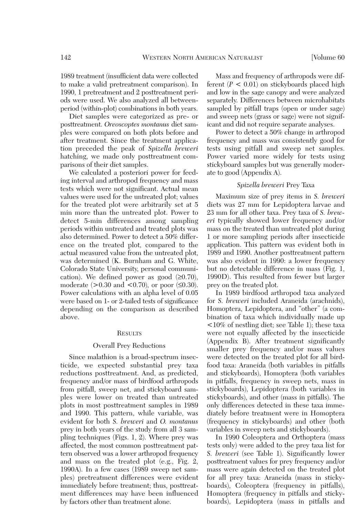period (within-plot) combinations in both years. Diet samples were categorized as pre- or posttreatment. *Oreoscoptes montanus* diet samples were compared on both plots before and after treatment. Since the treatment application preceded the peak of *Spizella breweri* hatching, we made only posttreatment comparisons of their diet samples.

We calculated a posteriori power for feeding interval and arthropod frequency and mass tests which were not significant. Actual mean values were used for the untreated plot; values for the treated plot were arbitrarily set at 5 min more than the untreated plot. Power to detect 5-min differences among sampling periods within untreated and treated plots was also determined. Power to detect a 50% difference on the treated plot, compared to the actual measured value from the untreated plot, was determined (K. Burnham and G. White, Colorado State University, personal communication). We defined power as good  $(≥0.70)$ , moderate  $(>0.30$  and  $< 0.70$ ), or poor  $( \leq 0.30)$ . Power calculations with an alpha level of 0.05 were based on 1- or 2-tailed tests of significance depending on the comparison as described above.

## **RESULTS**

#### Overall Prey Reductions

Since malathion is a broad-spectrum insecticide, we expected substantial prey taxa reductions posttreatment. And, as predicted, frequency and/or mass of birdfood arthropods from pitfall, sweep net, and stickyboard samples were lower on treated than untreated plots in most posttreatment samples in 1989 and 1990. This pattern, while variable, was evident for both *S. breweri* and *O. montanus* prey in both years of the study from all 3 sampling techniques (Figs. 1, 2). Where prey was affected, the most common posttreatment pattern observed was a lower arthropod frequency and mass on the treated plot (e.g., Fig. 2, 1990A). In a few cases (1989 sweep net samples) pretreatment differences were evident immediately before treatment; thus, posttreatment differences may have been influenced by factors other than treatment alone.

Mass and frequency of arthropods were different  $(P < 0.01)$  on stickyboards placed high and low in the sage canopy and were analyzed separately. Differences between microhabitats sampled by pitfall traps (open or under sage) and sweep nets (grass or sage) were not significant and did not require separate analyses.

Power to detect a 50% change in arthropod frequency and mass was consistently good for tests using pitfall and sweep net samples. Power varied more widely for tests using stickyboard samples but was generally moderate to good (Appendix A).

## *Spizella breweri* Prey Taxa

Maximum size of prey items in *S. breweri* diets was 27 mm for Lepidoptera larvae and 23 mm for all other taxa. Prey taxa of *S. breweri* typically showed lower frequency and/or mass on the treated than untreated plot during 1 or more sampling periods after insecticide application. This pattern was evident both in 1989 and 1990. Another posttreatment pattern was also evident in 1990: a lower frequency but no detectable difference in mass (Fig. 1, 1990D). This resulted from fewer but larger prey on the treated plot.

In 1989 birdfood arthropod taxa analyzed for *S. breweri* included Araneida (arachnids), Homoptera, Lepidoptera, and "other" (a combination of taxa which individually made up <10% of nestling diet; see Table 1); these taxa were not equally affected by the insecticide (Appendix B). After treatment significantly smaller prey frequency and/or mass values were detected on the treated plot for all birdfood taxa: Araneida (both variables in pitfalls and stickyboards), Homoptera (both variables in pitfalls, frequency in sweep nets, mass in stickyboards), Lepidoptera (both variables in stickyboards), and other (mass in pitfalls). The only differences detected in these taxa immediately before treatment were in Homoptera (frequency in stickyboards) and other (both variables in sweep nets and stickyboards).

In 1990 Coleoptera and Orthoptera (mass tests only) were added to the prey taxa list for *S. breweri* (see Table 1). Significantly lower posttreatment values for prey frequency and/or mass were again detected on the treated plot for all prey taxa: Araneida (mass in stickyboards), Coleoptera (frequency in pitfalls), Homoptera (frequency in pitfalls and stickyboards), Lepidoptera (mass in pitfalls and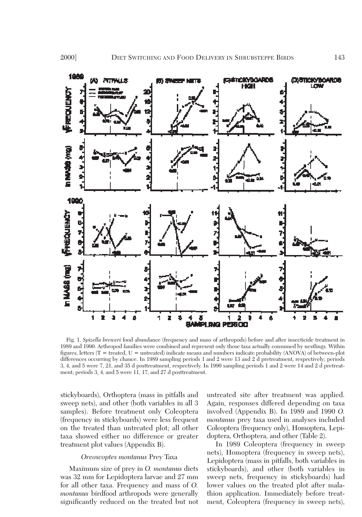

Fig. 1. *Spizella breweri* food abundance (frequency and mass of arthropods) before and after insecticide treatment in 1989 and 1990. Arthropod families were combined and represent only those taxa actually consumed by nestlings. Within figures, letters ( $T$  = treated,  $U$  = untreated) indicate means and numbers indicate probability (ANOVA) of between-plot differences occurring by chance. In 1989 sampling periods 1 and 2 were 13 and 2 d pretreatment, respectively; periods 3, 4, and 5 were 7, 21, and 35 d posttreatment, respectively. In 1990 sampling periods 1 and 2 were 14 and 2 d pretreatment; periods 3, 4, and 5 were 11, 17, and 27 d posttreatment.

stickyboards), Orthoptera (mass in pitfalls and sweep nets), and other (both variables in all 3 samples). Before treatment only Coleoptera (frequency in stickyboards) were less frequent on the treated than untreated plot; all other taxa showed either no difference or greater treatment plot values (Appendix B).

## *Oreoscoptes montanus* Prey Taxa

Maximum size of prey in *O. montanus* diets was 32 mm for Lepidoptera larvae and 27 mm for all other taxa. Frequency and mass of *O. montanus* birdfood arthropods were generally significantly reduced on the treated but not

untreated site after treatment was applied. Again, responses differed depending on taxa involved (Appendix B). In 1989 and 1990 *O. montanus* prey taxa used in analyses included Coleoptera (frequency only), Homoptera, Lepidoptera, Orthoptera, and other (Table 2).

In 1989 Coleoptera (frequency in sweep nets), Homoptera (frequency in sweep nets), Lepidoptera (mass in pitfalls, both variables in stickyboards), and other (both variables in sweep nets, frequency in stickyboards) had lower values on the treated plot after malathion application. Immediately before treatment, Coleoptera (frequency in sweep nets),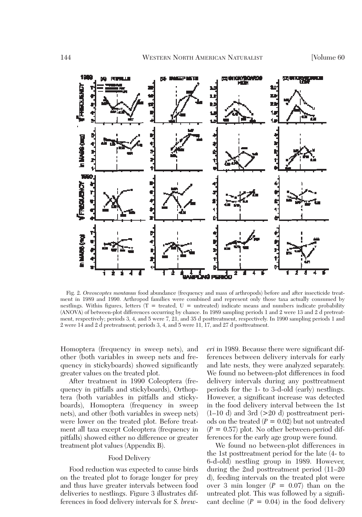

Fig. 2. *Oreoscoptes montanus* food abundance (frequency and mass of arthropods) before and after insecticide treatment in 1989 and 1990. Arthropod families were combined and represent only those taxa actually consumed by nestlings. Within figures, letters  $(T = \text{treated}, U = \text{untreated})$  indicate means and numbers indicate probability (ANOVA) of between-plot differences occurring by chance. In 1989 sampling periods 1 and 2 were 13 and 2 d pretreatment, respectively; periods 3, 4, and 5 were 7, 21, and 35 d posttreatment, respectively. In 1990 sampling periods 1 and 2 were 14 and 2 d pretreatment; periods 3, 4, and 5 were 11, 17, and 27 d posttreatment.

Homoptera (frequency in sweep nets), and other (both variables in sweep nets and frequency in stickyboards) showed significantly greater values on the treated plot.

After treatment in 1990 Coleoptera (frequency in pitfalls and stickyboards), Orthoptera (both variables in pitfalls and stickyboards), Homoptera (frequency in sweep nets), and other (both variables in sweep nets) were lower on the treated plot. Before treatment all taxa except Coleoptera (frequency in pitfalls) showed either no difference or greater treatment plot values (Appendix B).

## Food Delivery

Food reduction was expected to cause birds on the treated plot to forage longer for prey and thus have greater intervals between food deliveries to nestlings. Figure 3 illustrates differences in food delivery intervals for *S. brew-* *eri* in 1989. Because there were significant differences between delivery intervals for early and late nests, they were analyzed separately. We found no between-plot differences in food delivery intervals during any posttreatment periods for the 1- to 3-d-old (early) nestlings. However, a significant increase was detected in the food delivery interval between the 1st  $(1-10 d)$  and 3rd  $(>20 d)$  posttreatment periods on the treated  $(P = 0.02)$  but not untreated  $(P = 0.57)$  plot. No other between-period differences for the early age group were found.

We found no between-plot differences in the 1st posttreatment period for the late (4- to 6-d-old) nestling group in 1989. However, during the 2nd posttreatment period (11–20 d), feeding intervals on the treated plot were over 3 min longer  $(P = 0.07)$  than on the untreated plot. This was followed by a significant decline  $(P = 0.04)$  in the food delivery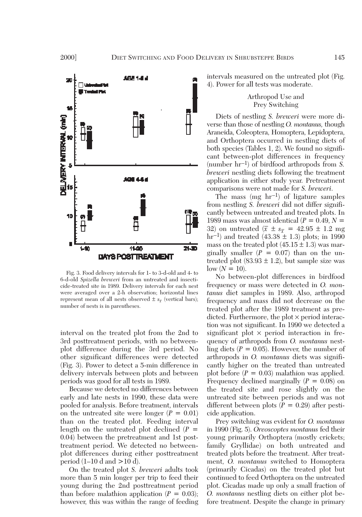

Fig. 3. Food delivery intervals for 1- to 3-d-old and 4- to 6-d-old *Spizella breweri* from an untreated and insecticide-treated site in 1989. Delivery intervals for each nest were averaged over a 2-h observation; horizontal lines represent mean of all nests observed  $\pm s_{\overline{x}}$  (vertical bars); number of nests is in parentheses.

interval on the treated plot from the 2nd to 3rd posttreatment periods, with no betweenplot difference during the 3rd period. No other significant differences were detected (Fig. 3). Power to detect a 5-min difference in delivery intervals between plots and between periods was good for all tests in 1989.

Because we detected no differences between early and late nests in 1990, these data were pooled for analysis. Before treatment, intervals on the untreated site were longer  $(P = 0.01)$ than on the treated plot. Feeding interval length on the untreated plot declined  $(P =$ 0.04) between the pretreatment and 1st posttreatment period. We detected no betweenplot differences during either posttreatment period  $(1-10 \text{ d and } >10 \text{ d})$ .

On the treated plot *S. breweri* adults took more than 5 min longer per trip to feed their young during the 2nd posttreatment period than before malathion application  $(P = 0.03)$ ; however, this was within the range of feeding intervals measured on the untreated plot (Fig. 4). Power for all tests was moderate.

## Arthropod Use and Prey Switching

Diets of nestling *S. breweri* were more diverse than those of nestling *O. montanus,* though Araneida, Coleoptera, Homoptera, Lepidoptera, and Orthoptera occurred in nestling diets of both species (Tables 1, 2). We found no significant between-plot differences in frequency (number hr–1) of birdfood arthropods from *S. breweri* nestling diets following the treatment application in either study year. Pretreatment comparisons were not made for *S. breweri*.

The mass  $(mg \ hr^{-1})$  of ligature samples from nestling *S. breweri* did not differ significantly between untreated and treated plots. In 1989 mass was almost identical  $(P = 0.49, N =$ 32) on untreated  $(\bar{x} \pm s_{\bar{x}} = 42.95 \pm 1.2 \text{ mg})$ hr<sup>-1</sup>) and treated  $(43.38 \pm 1.3)$  plots; in 1990 mass on the treated plot  $(45.15 \pm 1.3)$  was marginally smaller  $(P = 0.07)$  than on the untreated plot  $(83.93 \pm 1.2)$ , but sample size was  $low (N = 10)$ .

No between-plot differences in birdfood frequency or mass were detected in *O. montanus* diet samples in 1989. Also, arthropod frequency and mass did not decrease on the treated plot after the 1989 treatment as predicted. Furthermore, the plot  $\times$  period interaction was not significant. In 1990 we detected a significant plot  $\times$  period interaction in frequency of arthropods from *O. montanus* nestling diets  $(P = 0.05)$ . However, the number of arthropods in *O. montanus* diets was significantly higher on the treated than untreated plot before  $(P = 0.03)$  malathion was applied. Frequency declined marginally  $(P = 0.08)$  on the treated site and rose slightly on the untreated site between periods and was not different between plots  $(P = 0.29)$  after pesticide application.

Prey switching was evident for *O. montanus* in 1990 (Fig. 5). *Oreoscoptes montanus* fed their young primarily Orthoptera (mostly crickets; family Gryllidae) on both untreated and treated plots before the treatment. After treatment, *O. montanus* switched to Homoptera (primarily Cicadas) on the treated plot but continued to feed Orthoptera on the untreated plot. Cicadas made up only a small fraction of *O. montanus* nestling diets on either plot before treatment. Despite the change in primary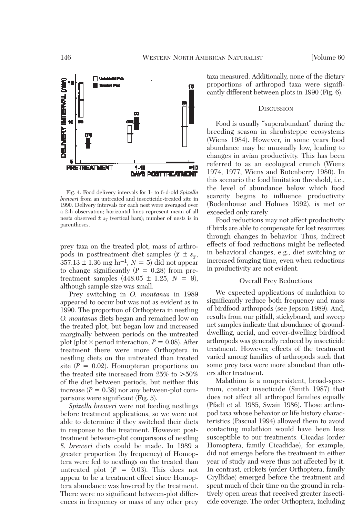

Fig. 4. Food delivery intervals for 1- to 6-d-old *Spizella breweri* from an untreated and insecticide-treated site in 1990. Delivery intervals for each nest were averaged over a 2-h observation; horizontal lines represent mean of all nests observed  $\pm s_{\overline{x}}$  (vertical bars); number of nests is in parentheses.

prey taxa on the treated plot, mass of arthropods in posttreatment diet samples ( $\bar{x} \pm s_{\bar{x}}$ ,  $357.13 \pm 1.36$  mg hr<sup>-1</sup>,  $N = 5$ ) did not appear to change significantly  $(P = 0.28)$  from pretreatment samples  $(448.05 \pm 1.25, N = 9)$ , although sample size was small.

Prey switching in *O. montanus* in 1989 appeared to occur but was not as evident as in 1990. The proportion of Orthoptera in nestling *O. montanus* diets began and remained low on the treated plot, but began low and increased marginally between periods on the untreated plot (plot  $\times$  period interaction,  $P = 0.08$ ). After treatment there were more Orthoptera in nestling diets on the untreated than treated site  $(P = 0.02)$ . Homopteran proportions on the treated site increased from 25% to >50% of the diet between periods, but neither this increase  $(P = 0.38)$  nor any between-plot comparisons were significant (Fig. 5).

*Spizella breweri* were not feeding nestlings before treatment applications, so we were not able to determine if they switched their diets in response to the treatment. However, posttreatment between-plot comparisons of nestling *S. breweri* diets could be made. In 1989 a greater proportion (by frequency) of Homoptera were fed to nestlings on the treated than untreated plot  $(P = 0.03)$ . This does not appear to be a treatment effect since Homoptera abundance was lowered by the treatment. There were no significant between-plot differences in frequency or mass of any other prey taxa measured. Additionally, none of the dietary proportions of arthropod taxa were significantly different between plots in 1990 (Fig. 6).

### **DISCUSSION**

Food is usually "superabundant" during the breeding season in shrubsteppe ecosystems (Wiens 1984). However, in some years food abundance may be unusually low, leading to changes in avian productivity. This has been referred to as an ecological crunch (Wiens 1974, 1977, Wiens and Rotenberry 1980). In this scenario the food limitation threshold, i.e., the level of abundance below which food scarcity begins to influence productivity (Rodenhouse and Holmes 1992), is met or exceeded only rarely.

Food reductions may not affect productivity if birds are able to compensate for lost resources through changes in behavior. Thus, indirect effects of food reductions might be reflected in behavioral changes, e.g., diet switching or increased foraging time, even when reductions in productivity are not evident.

### Overall Prey Reductions

We expected applications of malathion to significantly reduce both frequency and mass of birdfood arthropods (see Jepson 1989). And, results from our pitfall, stickyboard, and sweep net samples indicate that abundance of grounddwelling, aerial, and cover-dwelling birdfood arthropods was generally reduced by insecticide treatment. However, effects of the treatment varied among families of arthropods such that some prey taxa were more abundant than others after treatment.

Malathion is a nonpersistent, broad-spectrum, contact insecticide (Smith 1987) that does not affect all arthropod families equally (Pfadt et al. 1985, Swain 1986). Those arthropod taxa whose behavior or life history characteristics (Pascual 1994) allowed them to avoid contacting malathion would have been less susceptible to our treatments. Cicadas (order Homoptera, family Cicadidae), for example, did not emerge before the treatment in either year of study and were thus not affected by it. In contrast, crickets (order Orthoptera, family Gryllidae) emerged before the treatment and spent much of their time on the ground in relatively open areas that received greater insecticide coverage. The order Orthoptera, including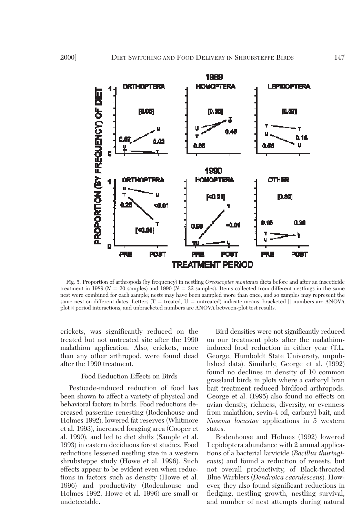

Fig. 5. Proportion of arthropods (by frequency) in nestling *Oreoscoptes montanus* diets before and after an insecticide treatment in 1989 ( $N = 20$  samples) and 1990 ( $N = 32$  samples). Items collected from different nestlings in the same nest were combined for each sample; nests may have been sampled more than once, and so samples may represent the same nest on different dates. Letters  $(T = \text{treated}, U = \text{untreated})$  indicate means, bracketed  $\lceil \rceil$  numbers are ANOVA plot × period interactions, and unbracketed numbers are ANOVA between-plot test results.

crickets, was significantly reduced on the treated but not untreated site after the 1990 malathion application. Also, crickets, more than any other arthropod, were found dead after the 1990 treatment.

## Food Reduction Effects on Birds

Pesticide-induced reduction of food has been shown to affect a variety of physical and behavioral factors in birds. Food reductions decreased passerine renesting (Rodenhouse and Holmes 1992), lowered fat reserves (Whitmore et al. 1993), increased foraging area (Cooper et al. 1990), and led to diet shifts (Sample et al. 1993) in eastern deciduous forest studies. Food reductions lessened nestling size in a western shrubsteppe study (Howe et al. 1996). Such effects appear to be evident even when reductions in factors such as density (Howe et al. 1996) and productivity (Rodenhouse and Holmes 1992, Howe et al. 1996) are small or undetectable.

Bird densities were not significantly reduced on our treatment plots after the malathioninduced food reduction in either year (T.L. George, Humboldt State University, unpublished data). Similarly, George et al. (1992) found no declines in density of 10 common grassland birds in plots where a carbaryl bran bait treatment reduced birdfood arthropods. George et al. (1995) also found no effects on avian density, richness, diversity, or evenness from malathion, sevin-4 oil, carbaryl bait, and *Nosema locustae* applications in 5 western states.

Rodenhouse and Holmes (1992) lowered Lepidoptera abundance with 2 annual applications of a bacterial larvicide (*Bacillus thuringiensis*) and found a reduction of renests, but not overall productivity, of Black-throated Blue Warblers (*Dendroica caerulescens*). However, they also found significant reductions in fledging, nestling growth, nestling survival, and number of nest attempts during natural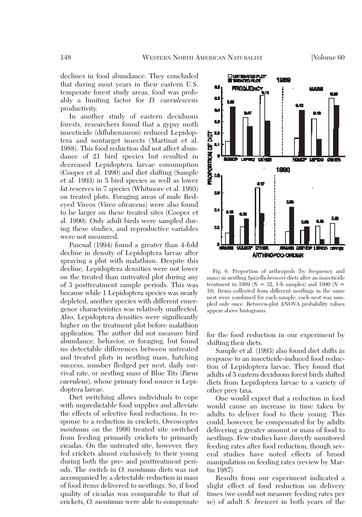declines in food abundance. They concluded that during most years in their eastern U.S. temperate forest study areas, food was probably a limiting factor for *D. caerulescens* productivity.

In another study of eastern deciduous forests, researchers found that a gypsy moth insecticide (diflubenzuron) reduced Lepidoptera and nontarget insects (Martinat et al. 1988). This food reduction did not affect abundance of 21 bird species but resulted in decreased Lepidoptera larvae consumption (Cooper et al. 1990) and diet shifting (Sample et al. 1993) in 5 bird species as well as lower fat reserves in 7 species (Whitmore et al. 1993) on treated plots. Foraging areas of male Redeyed Vireos (*Vireo olivaceus*) were also found to be larger on these treated sites (Cooper et al. 1990). Only adult birds were sampled during these studies, and reproductive variables were not measured.

Pascual (1994) found a greater than 4-fold decline in density of Lepidoptera larvae after spraying a plot with malathion. Despite this decline, Lepidoptera densities were not lower on the treated than untreated plot during any of 3 posttreatment sample periods. This was because while 1 Lepidoptera species was nearly depleted, another species with different emergence characteristics was relatively unaffected. Also, Lepidoptera densities were significantly higher on the treatment plot before malathion application. The author did not measure bird abundance, behavior, or foraging, but found no detectable differences between untreated and treated plots in nestling mass, hatching success, number fledged per nest, daily survival rate, or nestling mass of Blue Tits (*Parus caeruleus*), whose primary food source is Lepidoptera larvae.

Diet switching allows individuals to cope with unpredictable food supplies and alleviate the effects of selective food reductions. In response to a reduction in crickets, *Oreoscoptes montanus* on the 1990 treated site switched from feeding primarily crickets to primarily cicadas. On the untreated site, however, they fed crickets almost exclusively to their young during both the pre- and posttreatment periods. The switch in *O. montanus* diets was not accompanied by a detectable reduction in mass of food items delivered to nestlings. So, if food quality of cicadas was comparable to that of crickets, *O. montanus* were able to compensate



Fig. 6. Proportion of arthropods (by frequency and mass) in nestling *Spizella breweri* diets after an insecticide treatment in 1989 ( $N = 32$ , 1-h samples) and 1990 ( $N =$ 10). Items collected from different nestlings in the same nest were combined for each sample; each nest was sampled only once. Between-plot ANOVA probability values appear above histograms.

for the food reduction in our experiment by shifting their diets.

Sample et al. (1993) also found diet shifts in response to an insecticide-induced food reduction of Lepidoptera larvae. They found that adults of 5 eastern deciduous forest birds shifted diets from Lepidoptera larvae to a variety of other prey taxa.

One would expect that a reduction in food would cause an increase in time taken by adults to deliver food to their young. This could, however, be compensated for by adults delivering a greater amount or mass of food to nestlings. Few studies have directly monitored feeding rates after food reduction, though several studies have noted effects of brood manipulation on feeding rates (review by Martin 1987).

Results from our experiment indicated a slight effect of food reduction on delivery times (we could not measure feeding rates per se) of adult *S. breweri* in both years of the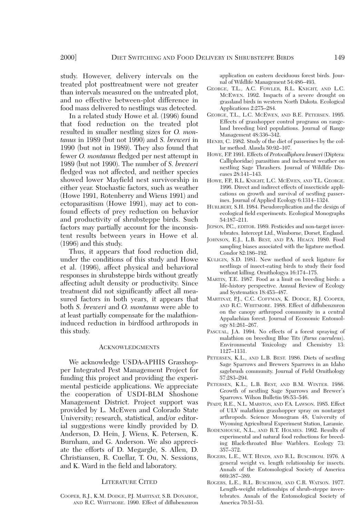study. However, delivery intervals on the treated plot posttreatment were not greater than intervals measured on the untreated plot, and no effective between-plot difference in food mass delivered to nestlings was detected.

In a related study Howe et al. (1996) found that food reduction on the treated plot resulted in smaller nestling sizes for *O. montanus* in 1989 (but not 1990) and *S. breweri* in 1990 (but not in 1989). They also found that fewer *O. montanus* fledged per nest attempt in 1989 (but not 1990). The number of *S. breweri* fledged was not affected, and neither species showed lower Mayfield nest survivorship in either year. Stochastic factors, such as weather (Howe 1991, Rotenberry and Wiens 1991) and ectoparasitism (Howe 1991), may act to confound effects of prey reduction on behavior and productivity of shrubsteppe birds. Such factors may partially account for the inconsistent results between years in Howe et al. (1996) and this study.

Thus, it appears that food reduction did, under the conditions of this study and Howe et al. (1996), affect physical and behavioral responses in shrubsteppe birds without greatly affecting adult density or productivity. Since treatment did not significantly affect all measured factors in both years, it appears that both *S. breweri* and *O. montanus* were able to at least partially compensate for the malathioninduced reduction in birdfood arthropods in this study.

#### ACKNOWLEDGMENTS

We acknowledge USDA-APHIS Grasshopper Integrated Pest Management Project for funding this project and providing the experimental pesticide applications. We appreciate the cooperation of USDI-BLM Shoshone Management District. Project support was provided by L. McEwen and Colorado State University; research, statistical, and/or editorial suggestions were kindly provided by D. Anderson, D. Hein, J. Wiens, K. Petersen, K. Burnham, and G. Anderson. We also appreciate the efforts of D. Megargle, S. Allen, D. Christiansen, R. Cuellar, T. Ou, N. Sessions, and K. Ward in the field and laboratory.

#### LITERATURE CITED

COOPER, R.J., K.M. DODGE, P.J. MARTINAT, S.B. DONAHOE, AND R.C. WHITMORE. 1990. Effect of diflubenzuron

application on eastern deciduous forest birds. Journal of Wildlife Management 54:486–493.

- GEORGE, T.L., A.C. FOWLER, R.L. KNIGHT, AND L.C. MCEWEN. 1992. Impacts of a severe drought on grassland birds in western North Dakota. Ecological Applications 2:275–284.
- GEORGE, T.L., L.C. MCEWEN, AND B.E. PETERSEN. 1995. Effects of grasshopper control programs on rangeland breeding bird populations. Journal of Range Management 48:336–342.
- HENRY, C. 1982. Study of the diet of passerines by the collar method. Alauda 50:92–107.
- HOWE, F.P. 1991. Effects of *Protocalliphora braueri* (Diptera: Calliphoridae) parasitism and inclement weather on nestling Sage Thrashers. Journal of Wildlife Diseases 28:141–143.
- HOWE, F.P., R.L. KNIGHT, L.C. MCEWEN, AND T.L. GEORGE. 1996. Direct and indirect effects of insecticide applications on growth and survival of nestling passerines. Journal of Applied Ecology 6:1314–1324.
- HURLBERT, S.H. 1984. Pseudoreplication and the design of ecological field experiments. Ecological Monographs 54:187–211.
- JEPSON, P.C., EDITOR. 1989. Pesticides and non-target invertebrates. Intercept Ltd., Wimborne, Dorset, England.
- JOHNSON, E.J., L.B. BEST, AND P.A. HEAGY. 1980. Food sampling biases associated with the ligature method. Condor 82:186–192.
- KULIGIN, S.D. 1981. New method of neck ligature for nestlings of insect-eating birds to study their food without killing. Ornithologya 16:174–175.
- MARTIN, T.E. 1987. Food as a limit on breeding birds: a life-history perspective. Annual Review of Ecology and Systematics 18:453–487.
- MARTINAT, P.J., C.C. COFFMAN, K. DODGE, R.J. COOPER, AND R.C. WHITMORE. 1988. Effect of diflubenzuron on the canopy arthropod community in a central Appalachian forest. Journal of Economic Entomology 81:261–267.
- PASCUAL, J.A. 1994. No effects of a forest spraying of malathion on breeding Blue Tits (*Parus caeruleus*). Environmental Toxicology and Chemistry 13: 1127–1131.
- PETERSEN, K.L., AND L.B. BEST. 1986. Diets of nestling Sage Sparrows and Brewers Sparrows in an Idaho sagebrush community. Journal of Field Ornithology 57:283–294.
- PETERSEN, K.L., L.B. BEST, AND B.M. WINTER. 1986. Growth of nestling Sage Sparrows and Brewer's Sparrows. Wilson Bulletin 98:53–546.
- PFADT, R.E., N.L. MARSTON, AND F.A. LAWSON. 1985. Effect of ULV malathion grasshopper spray on nontarget arthropods. Science Monogram 48, University of Wyoming Agricultural Experiment Station, Laramie.
- RODENHOUSE, N.L., AND R.T. HOLMES. 1992. Results of experimental and natural food reductions for breeding Black-throated Blue Warblers. Ecology 73: 357–372.
- ROGERS, L.E., W.T. HINDS, AND R.L. BUSCHBOM. 1976. A general weight vs. length relationship for insects. Annals of the Entomological Society of America 669:387–389.
- ROGERS, L.E., R.L. BUSCHBOM, AND C.R. WATSON. 1977. Length-weight relationships of shrub-steppe invertebrates. Annals of the Entomological Society of America 70:51–53.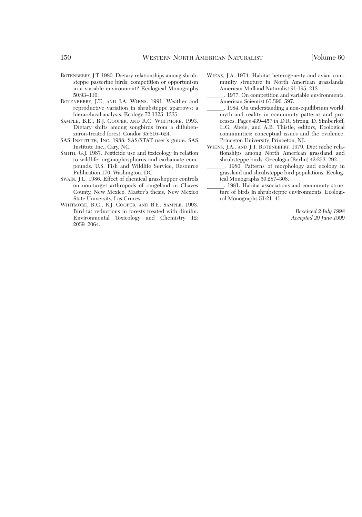- ROTENBERRY, J.T. 1980. Dietary relationships among shrubsteppe passerine birds: competition or opportunism in a variable environment? Ecological Monographs 50:93–110.
- ROTENBERRY, J.T., AND J.A. WIENS. 1991. Weather and reproductive variation in shrubsteppe sparrows: a hierarchical analysis. Ecology 72:1325–1335.
- SAMPLE, B.E., R.J. COOPER, AND R.C. WHITMORE. 1993. Dietary shifts among songbirds from a diflubenzuron-treated forest. Condor 95:616–624.
- SAS INSTITUTE, INC. 1988. SAS/STAT user's guide. SAS Institute Inc., Cary, NC.
- SMITH, G.J. 1987. Pesticide use and toxicology in relation to wildlife: organophosphorus and carbamate compounds. U.S. Fish and Wildlife Service, Resource Publication 170, Washington, DC.
- SWAIN, J.L. 1986. Effect of chemical grasshopper controls on non-target arthropods of rangeland in Chaves County, New Mexico. Master's thesis, New Mexico State University, Las Cruces.
- WHITMORE, R.C., R.J. COOPER, AND B.E. SAMPLE. 1993. Bird fat reductions in forests treated with dimilin. Environmental Toxicology and Chemistry 12: 2059–2064.
- WIENS, J.A. 1974. Habitat heterogeneity and avian community structure in North American grasslands. American Midland Naturalist 91:195–213.
- \_\_\_\_\_\_. 1977. On competition and variable environments. American Scientist 65:590–597.
- \_\_\_\_\_\_. 1984. On understanding a non-equilibrium world: myth and reality in community patterns and processes. Pages 439–457 *in* D.R. Strong, D. Simberloff, L.G. Abele, and A.B. Thistle, editors, Ecological communities: conceptual issues and the evidence. Princeton University, Princeton, NJ.
- WIENS, J.A., AND J.T. ROTENBERRY. 1979. Diet niche relationships among North American grassland and shrubsteppe birds. Oecologia (Berlin) 42:253–292.
- \_\_\_\_\_\_. 1980. Patterns of morphology and ecology in grassland and shrubsteppe bird populations. Ecological Monographs 50:287–308.
- \_\_\_\_\_\_. 1981. Habitat associations and community structure of birds in shrubsteppe environments. Ecological Monographs 51:21–41.

*Received 2 July 1998 Accepted 29 June 1999*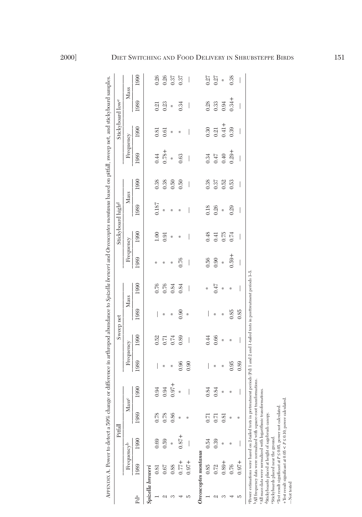|                  |                                                                                                                                                                                                                                                                                                                                                                                                                                                                                                                                         | Pitfall  |      |                                       |           | Sweep net |      |      |           | Stickyboard high <sup>d</sup> |       |      |                          | Stickyboard lowe |                          |      |
|------------------|-----------------------------------------------------------------------------------------------------------------------------------------------------------------------------------------------------------------------------------------------------------------------------------------------------------------------------------------------------------------------------------------------------------------------------------------------------------------------------------------------------------------------------------------|----------|------|---------------------------------------|-----------|-----------|------|------|-----------|-------------------------------|-------|------|--------------------------|------------------|--------------------------|------|
|                  | Frequency <sup>b</sup>                                                                                                                                                                                                                                                                                                                                                                                                                                                                                                                  |          |      | Mass <sup>c</sup>                     | Frequency |           | Mass |      | Frequency |                               | Mass  |      | Frequency                |                  | Mass                     |      |
| Pda              | 1989                                                                                                                                                                                                                                                                                                                                                                                                                                                                                                                                    | 1990     | 1989 | 1990                                  | 1989      | 1990      | 1989 | 1990 | 1989      | 1990                          | 1989  | 1990 | 1989                     | 1990             | 1989                     | 1990 |
| Spizella breweri |                                                                                                                                                                                                                                                                                                                                                                                                                                                                                                                                         |          |      |                                       |           |           |      |      |           |                               |       |      |                          |                  |                          |      |
|                  | 0.81                                                                                                                                                                                                                                                                                                                                                                                                                                                                                                                                    | 0.69     | 0.78 | 0.94                                  |           | 0.52      |      | 0.76 | ╬         | $1.00\,$                      | 0.187 | 0.38 | 0.44                     | 0.81             | 0.21                     | 0.26 |
|                  | 0.67                                                                                                                                                                                                                                                                                                                                                                                                                                                                                                                                    | 0.59     | 0.78 | 0.94                                  | ☆         | 0.71      | ☆    | 0.76 | ⋇         | 0.91                          | ×     | 0.38 | $0.78 +$                 | 0.61             | 0.23                     | 0.26 |
|                  | 0.88                                                                                                                                                                                                                                                                                                                                                                                                                                                                                                                                    | ×        | 0.86 | $0.97 +$                              | ╬         | 0.74      | ╬    | 0.84 | ╬         | ╬                             | ╬     | 0.50 | ×                        | ╬                | ╬                        | 0.37 |
|                  | $0.77 +$                                                                                                                                                                                                                                                                                                                                                                                                                                                                                                                                | $0.87 +$ | ×    | x                                     | 0.96      | 0.89      | 0.90 | 0.84 | 0.76      | ╬                             | ⋇     | 0.50 | 0.63                     | ╬                | 0.34                     | 0.37 |
| J.               | $0.97 +$                                                                                                                                                                                                                                                                                                                                                                                                                                                                                                                                |          | ×    |                                       | 0.90      | I         | ₩    | I    | I         |                               |       | I    | I                        |                  | I                        | I    |
|                  | Oreoscoptes montanus                                                                                                                                                                                                                                                                                                                                                                                                                                                                                                                    |          |      |                                       |           |           |      |      |           |                               |       |      |                          |                  |                          |      |
|                  | 0.85                                                                                                                                                                                                                                                                                                                                                                                                                                                                                                                                    | 0.54     |      | 84<br>$\dot{\circ}$                   | I         | 0.44      |      | ⋇    | 0.56      | 0.48                          | 0.18  | 0.38 | 0.34                     | 0.30             | 0.28                     | 0.27 |
|                  | 0.72                                                                                                                                                                                                                                                                                                                                                                                                                                                                                                                                    | 0.39     | 0.71 | 0.84                                  | ╬         | 0.66      | ╬    | 0.47 | 0.90      | 0.41                          | 0.26  | 0.37 | 0.47                     | 0.21             | 0.33                     | 0.27 |
| S                | $0.89 +$                                                                                                                                                                                                                                                                                                                                                                                                                                                                                                                                | ÷        | 0.81 | ×                                     | ╬         | ×         | ╬    | ╬    | ×         | 0.75                          | ų.    | 0.52 | 0.40                     | $0.41 +$         | 0.94                     | ╬    |
|                  | 0.76                                                                                                                                                                                                                                                                                                                                                                                                                                                                                                                                    | ⋇        | ×    | ×                                     | 0.95      | ∗         | 0.85 | ∗    | $0.59 +$  | 0.74                          | 0.29  | 0.53 | $0.29 +$                 | 0.39             | $0.34 +$                 | 0.38 |
|                  | $0.97 +$                                                                                                                                                                                                                                                                                                                                                                                                                                                                                                                                |          | ∗    | $\begin{array}{c} \hline \end{array}$ | 0.89      | I         | 0.85 | I    | I         | I                             | I     | I    | $\overline{\phantom{a}}$ | I                | $\overline{\phantom{a}}$ | I    |
| -Not tested      | aPower estimations were based on 2-tailed tests in pretreatment periods (Pd) 1 and 2 and 1-tailed tests in posttreatment periods 3-5.<br>bAll frequency data were normalized with square-root transformations.<br><sup>c</sup> All mass data were normalized with logarithmic transformations.<br>+Test result significant at $0.05 < P \le 0.10$ , power calculated<br>Test result significant at $P \leq 0.05$ , power not calculated.<br>4Stickyboards placed at height of sagebrush canopy.<br>Stickyboards placed near the ground. |          |      |                                       |           |           |      |      |           |                               |       |      |                          |                  |                          |      |

2000]

## DIET SWITCHING AND FOOD DELIVERY IN SHRUBSTEPPE BIRDS 151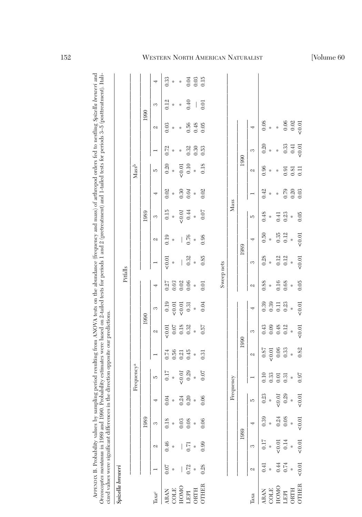| ana                                     |             |                          |
|-----------------------------------------|-------------|--------------------------|
|                                         | j<br>l<br>Ì |                          |
|                                         |             |                          |
|                                         |             |                          |
|                                         |             |                          |
| i                                       |             |                          |
|                                         | l           |                          |
|                                         |             |                          |
| i                                       |             |                          |
|                                         | ì<br>į      |                          |
| ţ                                       |             |                          |
|                                         |             |                          |
| i<br>i                                  | Ì           |                          |
| $\ddot{\phantom{a}}$                    |             |                          |
|                                         |             |                          |
|                                         |             |                          |
|                                         |             |                          |
|                                         |             |                          |
|                                         |             |                          |
| d mass                                  |             |                          |
| $\ddotsc$                               |             |                          |
| i                                       |             |                          |
|                                         |             |                          |
|                                         |             |                          |
|                                         |             |                          |
|                                         | l           |                          |
|                                         |             |                          |
|                                         |             |                          |
| i                                       |             |                          |
|                                         | i           |                          |
|                                         | くうくう        |                          |
|                                         |             |                          |
|                                         |             | i                        |
|                                         |             |                          |
|                                         |             |                          |
| į                                       |             |                          |
|                                         |             |                          |
|                                         |             |                          |
|                                         | ç           | l                        |
|                                         | ì           | i                        |
| ¢<br>i                                  |             | i                        |
| l                                       | j           |                          |
| ţ<br>l<br>j<br>$\overline{\phantom{a}}$ | ì<br>i<br>١ | $\overline{\phantom{a}}$ |
| hu camu                                 | l           |                          |
| j                                       | l           | Ş                        |
|                                         | İ           | へいへい                     |
| $\frac{1}{2}$                           |             |                          |
| ļ                                       | COO         | ζ                        |
|                                         |             | í                        |
| $\overline{1}$                          |             |                          |
| i                                       |             | j                        |
|                                         | i           |                          |
|                                         |             |                          |
|                                         | notor.      |                          |
| ļ<br>j<br>l                             | maana       |                          |
|                                         |             | くういこく<br>į               |
|                                         | I           |                          |

| Spizella breweri                                                                                                                                                                                                                                                                                                                   |                                                                                                                                                                       |      |           |                        |                     |                                            |        | Pitfalls           |          |      |       |        |       |      |      |          |                      |
|------------------------------------------------------------------------------------------------------------------------------------------------------------------------------------------------------------------------------------------------------------------------------------------------------------------------------------|-----------------------------------------------------------------------------------------------------------------------------------------------------------------------|------|-----------|------------------------|---------------------|--------------------------------------------|--------|--------------------|----------|------|-------|--------|-------|------|------|----------|----------------------|
|                                                                                                                                                                                                                                                                                                                                    |                                                                                                                                                                       |      |           | Frequency <sup>a</sup> |                     |                                            |        |                    |          |      |       |        | Massb |      |      |          |                      |
|                                                                                                                                                                                                                                                                                                                                    |                                                                                                                                                                       | 1989 |           |                        |                     | 1990                                       |        |                    |          |      | 1989  |        |       |      | 1990 |          |                      |
| $\begin{tabular}{l cccc} \hline \text{I} \text{Base} & 1 & 2 & 3 & 4 \\ \hline \text{ARAN} & 0.07 & 0.46 & 0.18 & 0.04 \\ \text{GOLE} & * & * & * & * \\ \text{HOMO} & - & - & 0.03 & 0.24 \\ \text{LEPI} & 0.72 & 0.71 & 0.08 & 0.29 \\ \text{ORTH} & * & * & * & * \\ \text{OTHER} & 0.28 & 0.99 & 0.06 & 0.06 \\ \end{tabular}$ |                                                                                                                                                                       |      |           | IJ                     | $\overline{ }$      | $\mathcal{Q}$                              | S      | 4                  |          | Z    | S     | 4      | IJ    |      | Z    | S        | 4                    |
|                                                                                                                                                                                                                                                                                                                                    |                                                                                                                                                                       |      |           | 0.17                   |                     | 50.01                                      | 0.19   |                    | 0.01     | 0.19 | 0.15  | 0.02   | 0.20  | 0.72 | 0.03 | 0.12     | 0.33                 |
|                                                                                                                                                                                                                                                                                                                                    |                                                                                                                                                                       |      |           | *                      | $0.74$<br>0.56      |                                            | 50.01  |                    | ×        | ₩    | ×     | $\ast$ | ×     | ×    | ×    | ×        | x                    |
|                                                                                                                                                                                                                                                                                                                                    |                                                                                                                                                                       |      |           |                        | 0.21                | $\begin{array}{c} 0.07 \\ 1.0 \end{array}$ | 50.01  | 57<br>0.03<br>0.06 | $\bigg $ | I    | 50.01 | 0.30   | 50.01 | ×    | ⋇    | ×        | ×                    |
|                                                                                                                                                                                                                                                                                                                                    |                                                                                                                                                                       |      |           | $\overset{<}{0.29}$    | 0.45                | 0.32                                       | 0.31   |                    | 0.32     | 0.76 | 0.44  | 0.04   | 0.10  | 0.32 | 0.56 | 0.40     |                      |
|                                                                                                                                                                                                                                                                                                                                    |                                                                                                                                                                       |      |           | $\ast$                 | ×                   | ×                                          | $\ast$ | $\ast$             | ×        | x    | ×     | x      | ×     | 0.30 | 0.48 | $\bigg $ | 3.03<br>0.15<br>0.15 |
|                                                                                                                                                                                                                                                                                                                                    |                                                                                                                                                                       |      |           | 0.07                   | 0.31                | 0.57                                       | 0.04   | 0.01               | 0.85     | 0.98 | 0.07  | 0.02   | 0.18  | 0.53 | 0.05 | 0.01     |                      |
|                                                                                                                                                                                                                                                                                                                                    |                                                                                                                                                                       |      |           |                        |                     |                                            |        |                    |          |      |       |        |       |      |      |          |                      |
|                                                                                                                                                                                                                                                                                                                                    |                                                                                                                                                                       |      |           |                        |                     |                                            |        | Sweep nets         |          |      |       |        |       |      |      |          |                      |
|                                                                                                                                                                                                                                                                                                                                    |                                                                                                                                                                       |      | Frequency |                        |                     |                                            |        |                    |          |      | Mass  |        |       |      |      |          |                      |
|                                                                                                                                                                                                                                                                                                                                    | 1989                                                                                                                                                                  |      |           |                        | 1990                |                                            |        |                    |          | 1989 |       |        | 1990  |      |      |          |                      |
| $\operatorname{faxa}$                                                                                                                                                                                                                                                                                                              | $\begin{array}{c cccc} 2 & 3 & 4 & 5 \\ \hline 0.41 & 0.17 & 0.39 & 0.23 \\ * & * & * & * \\ 0.44 & <0.01 & 0.24 & <0.01 \\ 0.74 & 0.14 & 0.08 & 0.29 \\ \end{array}$ |      |           |                        | Z                   | 3                                          | 4      | Z                  | S        | 4    | IJ    |        | Z     | S    | 4    |          |                      |
|                                                                                                                                                                                                                                                                                                                                    |                                                                                                                                                                       |      |           | 0.10                   |                     |                                            | 0.39   | 0.88               | 0.28     | 0.50 | 0.48  | 0.42   | 0.96  | 0.20 | 0.08 |          |                      |
| $\begin{tabular}{llllll} \bf{ARAN} & \bf{(} \\ \bf{COLE} & \bf{HOMO} & \bf{(} \\ \bf{HOMO} & \bf{(} \\ \bf{LEPI} & \bf{(} \end{tabular}$                                                                                                                                                                                           |                                                                                                                                                                       |      |           | 0.33                   | $\frac{0.87}{58.0}$ | $0.43$<br>0.09                             | 0.39   | ×                  | ×        | x    | ×     | ×      | ╬     | ×    | ×    |          |                      |
|                                                                                                                                                                                                                                                                                                                                    |                                                                                                                                                                       |      |           | 0.01                   | $0.06\,$            | 0.48                                       | 0.11   | 0.16               | 0.12     | 0.35 | 0.41  | ╬      | ╬     | ₩    | x    |          |                      |
|                                                                                                                                                                                                                                                                                                                                    |                                                                                                                                                                       |      |           | 0.31                   | 0.33                | 0.12                                       | 0.23   | 0.68               | 0.12     | 0.12 | 0.23  | 0.79   | 0.91  | 0.33 | 0.06 |          |                      |

## WESTERN NORTH AMERICAN NATURALIST [Volume 60

ORTH \* \* \* \* \* \* \* \* \* \* \* \* 0.20 0.81 0.41 0.02 OTHER <0.01 <0.01 <0.01 <0.01 <0.01 <0.01 <0.01 <0.01 <0.01 <0.01 <0.01 <0.01 <0.01 <0.01 <0.01 <0.01 <0.01 <0.01 <0.01 <0.01 <0.01 <0.01 <0.01 <0.01 <0.01 <0.01 <0.01 <0.01 <0.01 <0.01 <0.01 <0.01 <0.01 <0.01 <0.01 <0.01

 $\begin{array}{c} * \\ 0.01 \end{array}$ 

 $\genfrac{}{}{0pt}{}{*}{*}\genfrac{}{}{0pt}{}{0}{0}$ 

 $*$  0.82

 $0.97$ 

 $\begin{array}{c} * \\ 0.01 \end{array}$ 

 $\begin{array}{c} * \\ 0.01 \end{array}$ 

 $\begin{array}{c} * \\ 0.01 \end{array}$ 

 $\begin{array}{c}\n\ast \\
\phantom{0}0.01\n\end{array}$ 

ORTH<br>OTHER

 $0.02$   $< 0.01$ 

 $0.41$ <br> $< 0.01$ 

 $\begin{array}{c} 0.81 \\ 0.11 \end{array}$ 

 $\frac{0.20}{0.03}$ 

 $0.05$ 

 $\begin{array}{c} * \\ 0.01 \end{array}$ 

 $\begin{array}{c} * \\ 0.01 \end{array}$ 

 $0.05$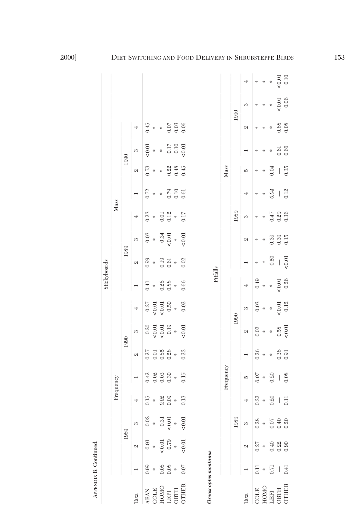|                      |                  |                                                    |                                              |                |                |                                 |                  |          | Stickyboards   |                                       |                      |        |                |                      |              |                      |        |          |
|----------------------|------------------|----------------------------------------------------|----------------------------------------------|----------------|----------------|---------------------------------|------------------|----------|----------------|---------------------------------------|----------------------|--------|----------------|----------------------|--------------|----------------------|--------|----------|
|                      |                  |                                                    |                                              |                | Frequency      |                                 |                  |          |                |                                       |                      | Mass   |                |                      |              |                      |        |          |
|                      |                  |                                                    | 1989                                         |                |                |                                 | 1990             |          |                | 1989                                  |                      |        |                |                      | 1990         |                      |        |          |
| laxa                 |                  | Z                                                  | 3                                            |                | $\overline{ }$ | Z                               | S                | 4        | $\overline{a}$ | Z                                     | 3                    | 4      | $\overline{ }$ | Z                    | S            | 4                    |        |          |
| <b>ARAN</b>          | 0.99             | 0.91                                               | 0.03                                         | 0.15           | 0.42           | 0.27                            |                  | 0.27     | 0.41           | 0.99                                  | 0.03                 | 0.23   | 0.72           | 0.73                 | 50.01        | 0.45                 |        |          |
| COLE                 | ╬                | $\ast$                                             |                                              | ×              | 0.02           | 0.01                            | $0.20$<br>$0.01$ | $< 0.01$ | ×              | ×                                     | ×                    | ×      | ×              | ×                    | x            | ×                    |        |          |
| HOMO                 | 0.08             | 50.01                                              |                                              |                | 0.03           | 0.85                            | 50.01            | 0.01     | 0.28           | 0.19                                  | 0.34                 | 0.01   | *              | ₩                    | ×            | ×                    |        |          |
| <b>LEPI</b>          | 0.08             | 0.79                                               | $\begin{array}{c} 0.31 \\ -0.01 \end{array}$ | $0.02$<br>0.09 | 0.30           | 0.28                            | 0.19             | 0.50     | 0.88           | 0.61                                  | 50.01                | 0.12   | 0.79           | 0.22                 |              | 0.07                 |        |          |
| <b>DRTH</b>          |                  | ×                                                  | $\ast$                                       | ×              | $\ast$         | ×                               | x                | x        | ×              | ×                                     | ×                    | $\ast$ | 0.10           | 0.48                 | 0.17<br>0.10 | 0.03                 |        |          |
| <b>JTHER</b>         | 0.07             | 0.01                                               | 0.01                                         | 0.13           | 0.15           | 0.23                            | 0.01             | $0.02\,$ | 0.66           | 0.02                                  | 0.01                 | 0.17   | 0.61           | 0.45                 | 50.01        | 0.06                 |        |          |
|                      |                  |                                                    |                                              |                |                |                                 |                  |          |                |                                       |                      |        |                |                      |              |                      |        |          |
| Oreoscoptes montanus |                  |                                                    |                                              |                |                |                                 |                  |          |                |                                       |                      |        |                |                      |              |                      |        |          |
|                      |                  |                                                    |                                              |                |                |                                 |                  |          | Pitfalls       |                                       |                      |        |                |                      |              |                      |        |          |
|                      |                  |                                                    |                                              |                | Frequency      |                                 |                  |          |                |                                       |                      |        |                | Mass                 |              |                      |        |          |
|                      |                  |                                                    | 1989                                         |                |                |                                 |                  | 1990     |                |                                       |                      | 1989   |                |                      |              | 1990                 |        |          |
| laxa                 |                  | Z                                                  | 3                                            |                | IJ             |                                 | Z                | S        | 4              |                                       | Z                    | S      | 4              | J.                   |              | Z                    | 3      | 4        |
| <b>ETIOC</b>         | $\overline{0}$ . | 0.27                                               | 0.28                                         | 0.32           | 0.07           | 0.26                            | 0.02             | 0.03     | 0.49           | $\frac{M}{\sqrt{2}}$                  | $\frac{M}{\sqrt{2}}$ | ☆      | ×              | $\frac{M}{\sqrt{2}}$ | ☆            | $\frac{M}{\sqrt{2}}$ | ☆      | ×        |
| HOMO                 | ×                | $\frac{\partial \mathcal{L}}{\partial \mathbf{r}}$ | ×                                            | ×              | x              | $\frac{\partial f}{\partial x}$ | ×                | ×        | ×              | ×                                     | ╬                    | ╬      | ╬              | ∗                    | ╬            | ╬                    | ╬      | ×        |
| LEPI                 | 0.71             | 0.40                                               |                                              | 0.20           | 0.20           | *                               | ×                | ÷.       | ×              | 0.50                                  | 0.39                 | 0.47   | 0.04           | 0.04                 | ₩            | ╬                    | ╬      | ÷.       |
| ORTH                 |                  | 0.22                                               | $0.07$<br>70.0                               |                |                | 0.38                            | 0.58             | 0.01     | ${}_{0.01}$    | $\begin{array}{c} \hline \end{array}$ | 0.39                 | 0.29   | I              |                      | 0.61         | 0.88                 | 50.01  | 50.01    |
| <b>CHER</b>          | 0.41             | 0.90                                               | 0.20                                         | 0.11           | 0.08           | 0.91                            | < 0.01           | 0.12     | 0.26           | < 0.01                                | 0.15                 | 0.36   | 0.12           | 0.35                 | 0.66         | 0.08                 | $0.06$ | $0.10\,$ |

2000]